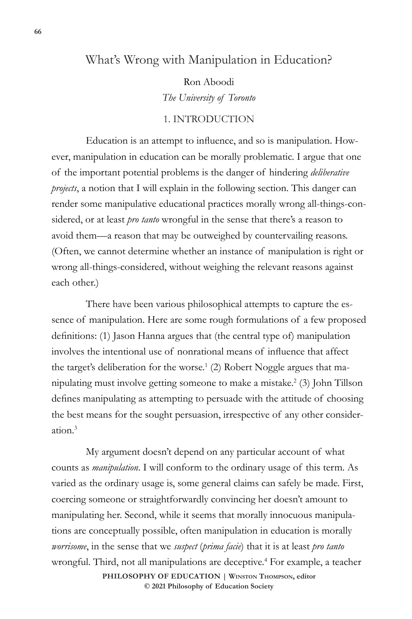## What's Wrong with Manipulation in Education?

Ron Aboodi *The University of Toronto*

## 1. INTRODUCTION

Education is an attempt to influence, and so is manipulation. However, manipulation in education can be morally problematic. I argue that one of the important potential problems is the danger of hindering *deliberative projects*, a notion that I will explain in the following section. This danger can render some manipulative educational practices morally wrong all-things-considered, or at least *pro tanto* wrongful in the sense that there's a reason to avoid them—a reason that may be outweighed by countervailing reasons. (Often, we cannot determine whether an instance of manipulation is right or wrong all-things-considered, without weighing the relevant reasons against each other.)

There have been various philosophical attempts to capture the essence of manipulation. Here are some rough formulations of a few proposed definitions: (1) Jason Hanna argues that (the central type of) manipulation involves the intentional use of nonrational means of influence that affect the target's deliberation for the worse.<sup>1</sup> (2) Robert Noggle argues that manipulating must involve getting someone to make a mistake.2 (3) John Tillson defines manipulating as attempting to persuade with the attitude of choosing the best means for the sought persuasion, irrespective of any other consideration.3

**PHILOSOPHY OF EDUCATION | Winston Thompson, editor**  My argument doesn't depend on any particular account of what counts as *manipulation*. I will conform to the ordinary usage of this term. As varied as the ordinary usage is, some general claims can safely be made. First, coercing someone or straightforwardly convincing her doesn't amount to manipulating her. Second, while it seems that morally innocuous manipulations are conceptually possible, often manipulation in education is morally *worrisome*, in the sense that we *suspect* (*prima facie*) that it is at least *pro tanto* wrongful. Third, not all manipulations are deceptive.<sup>4</sup> For example, a teacher

**© 2021 Philosophy of Education Society**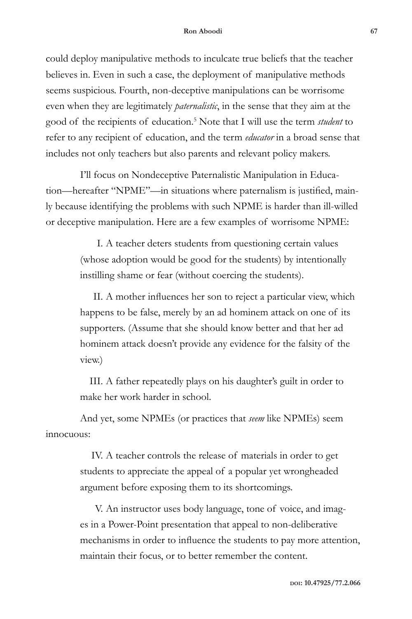could deploy manipulative methods to inculcate true beliefs that the teacher believes in. Even in such a case, the deployment of manipulative methods seems suspicious. Fourth, non-deceptive manipulations can be worrisome even when they are legitimately *paternalistic*, in the sense that they aim at the good of the recipients of education.5 Note that I will use the term *student* to refer to any recipient of education, and the term *educator* in a broad sense that includes not only teachers but also parents and relevant policy makers.

I'll focus on Nondeceptive Paternalistic Manipulation in Education—hereafter "NPME"—in situations where paternalism is justified, mainly because identifying the problems with such NPME is harder than ill-willed or deceptive manipulation. Here are a few examples of worrisome NPME:

> I. A teacher deters students from questioning certain values (whose adoption would be good for the students) by intentionally instilling shame or fear (without coercing the students).

II. A mother influences her son to reject a particular view, which happens to be false, merely by an ad hominem attack on one of its supporters. (Assume that she should know better and that her ad hominem attack doesn't provide any evidence for the falsity of the view.)

III. A father repeatedly plays on his daughter's guilt in order to make her work harder in school.

And yet, some NPMEs (or practices that *seem* like NPMEs) seem innocuous:

> IV. A teacher controls the release of materials in order to get students to appreciate the appeal of a popular yet wrongheaded argument before exposing them to its shortcomings.

V. An instructor uses body language, tone of voice, and images in a Power-Point presentation that appeal to non-deliberative mechanisms in order to influence the students to pay more attention, maintain their focus, or to better remember the content.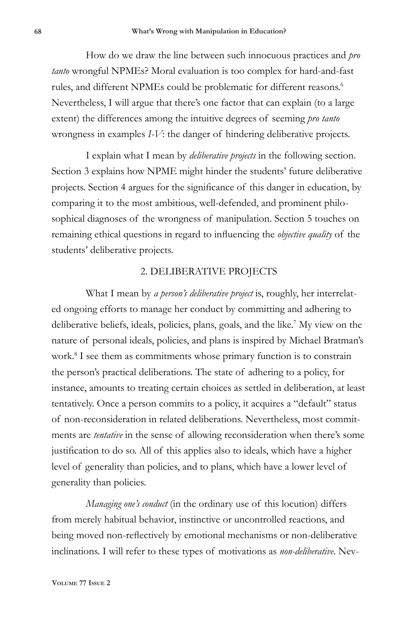How do we draw the line between such innocuous practices and *pro tanto* wrongful NPMEs? Moral evaluation is too complex for hard-and-fast rules, and different NPMEs could be problematic for different reasons.<sup>6</sup> Nevertheless, I will argue that there's one factor that can explain (to a large extent) the differences among the intuitive degrees of seeming *pro tanto*  wrongness in examples *I-V*: the danger of hindering deliberative projects.

I explain what I mean by *deliberative projects* in the following section. Section 3 explains how NPME might hinder the students' future deliberative projects. Section 4 argues for the significance of this danger in education, by comparing it to the most ambitious, well-defended, and prominent philosophical diagnoses of the wrongness of manipulation. Section 5 touches on remaining ethical questions in regard to influencing the *objective quality* of the students' deliberative projects.

## 2. DELIBERATIVE PROJECTS

What I mean by *a person's deliberative project* is, roughly, her interrelated ongoing efforts to manage her conduct by committing and adhering to deliberative beliefs, ideals, policies, plans, goals, and the like.<sup>7</sup> My view on the nature of personal ideals, policies, and plans is inspired by Michael Bratman's work.<sup>8</sup> I see them as commitments whose primary function is to constrain the person's practical deliberations. The state of adhering to a policy, for instance, amounts to treating certain choices as settled in deliberation, at least tentatively. Once a person commits to a policy, it acquires a "default" status of non-reconsideration in related deliberations. Nevertheless, most commitments are *tentative* in the sense of allowing reconsideration when there's some justification to do so. All of this applies also to ideals, which have a higher level of generality than policies, and to plans, which have a lower level of generality than policies.

*Managing one's conduct* (in the ordinary use of this locution) differs from merely habitual behavior, instinctive or uncontrolled reactions, and being moved non-reflectively by emotional mechanisms or non-deliberative inclinations. I will refer to these types of motivations as *non-deliberative*. Nev-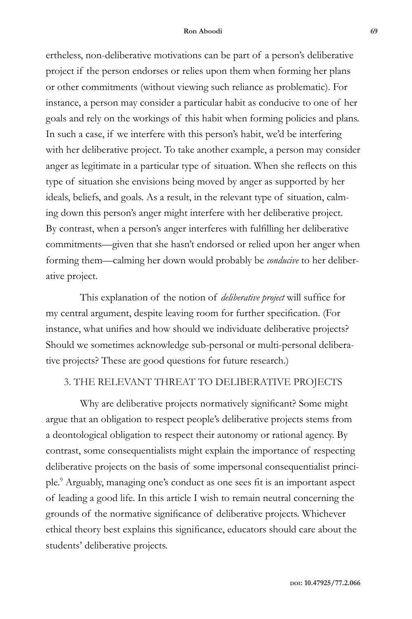ertheless, non-deliberative motivations can be part of a person's deliberative project if the person endorses or relies upon them when forming her plans or other commitments (without viewing such reliance as problematic). For instance, a person may consider a particular habit as conducive to one of her goals and rely on the workings of this habit when forming policies and plans. In such a case, if we interfere with this person's habit, we'd be interfering with her deliberative project. To take another example, a person may consider anger as legitimate in a particular type of situation. When she reflects on this type of situation she envisions being moved by anger as supported by her ideals, beliefs, and goals. As a result, in the relevant type of situation, calming down this person's anger might interfere with her deliberative project. By contrast, when a person's anger interferes with fulfilling her deliberative commitments—given that she hasn't endorsed or relied upon her anger when forming them—calming her down would probably be *conducive* to her deliberative project.

This explanation of the notion of *deliberative project* will suffice for my central argument, despite leaving room for further specification. (For instance, what unifies and how should we individuate deliberative projects? Should we sometimes acknowledge sub-personal or multi-personal deliberative projects? These are good questions for future research.)

## 3. THE RELEVANT THREAT TO DELIBERATIVE PROJECTS

Why are deliberative projects normatively significant? Some might argue that an obligation to respect people's deliberative projects stems from a deontological obligation to respect their autonomy or rational agency. By contrast, some consequentialists might explain the importance of respecting deliberative projects on the basis of some impersonal consequentialist principle.9 Arguably, managing one's conduct as one sees fit is an important aspect of leading a good life. In this article I wish to remain neutral concerning the grounds of the normative significance of deliberative projects. Whichever ethical theory best explains this significance, educators should care about the students' deliberative projects.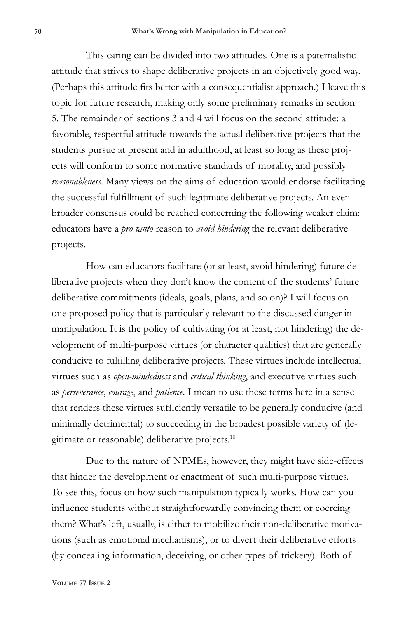This caring can be divided into two attitudes. One is a paternalistic attitude that strives to shape deliberative projects in an objectively good way. (Perhaps this attitude fits better with a consequentialist approach.) I leave this topic for future research, making only some preliminary remarks in section 5. The remainder of sections 3 and 4 will focus on the second attitude: a favorable, respectful attitude towards the actual deliberative projects that the students pursue at present and in adulthood, at least so long as these projects will conform to some normative standards of morality, and possibly *reasonableness*. Many views on the aims of education would endorse facilitating the successful fulfillment of such legitimate deliberative projects. An even broader consensus could be reached concerning the following weaker claim: educators have a *pro tanto* reason to *avoid hindering* the relevant deliberative projects.

How can educators facilitate (or at least, avoid hindering) future deliberative projects when they don't know the content of the students' future deliberative commitments (ideals, goals, plans, and so on)? I will focus on one proposed policy that is particularly relevant to the discussed danger in manipulation. It is the policy of cultivating (or at least, not hindering) the development of multi-purpose virtues (or character qualities) that are generally conducive to fulfilling deliberative projects. These virtues include intellectual virtues such as *open-mindedness* and *critical thinking*, and executive virtues such as *perseverance*, *courage*, and *patience*. I mean to use these terms here in a sense that renders these virtues sufficiently versatile to be generally conducive (and minimally detrimental) to succeeding in the broadest possible variety of (legitimate or reasonable) deliberative projects.10

Due to the nature of NPMEs, however, they might have side-effects that hinder the development or enactment of such multi-purpose virtues. To see this, focus on how such manipulation typically works. How can you influence students without straightforwardly convincing them or coercing them? What's left, usually, is either to mobilize their non-deliberative motivations (such as emotional mechanisms), or to divert their deliberative efforts (by concealing information, deceiving, or other types of trickery). Both of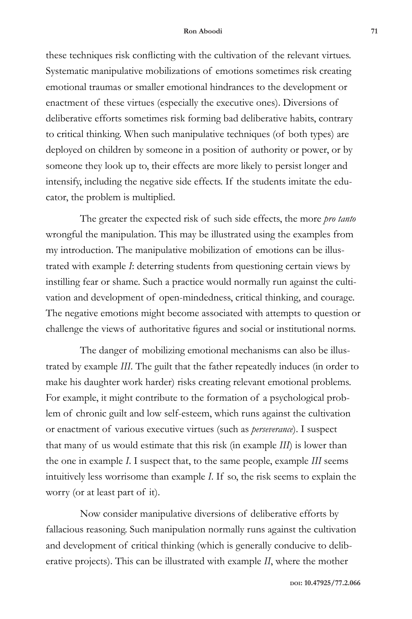these techniques risk conflicting with the cultivation of the relevant virtues. Systematic manipulative mobilizations of emotions sometimes risk creating emotional traumas or smaller emotional hindrances to the development or enactment of these virtues (especially the executive ones). Diversions of deliberative efforts sometimes risk forming bad deliberative habits, contrary to critical thinking. When such manipulative techniques (of both types) are deployed on children by someone in a position of authority or power, or by someone they look up to, their effects are more likely to persist longer and intensify, including the negative side effects. If the students imitate the educator, the problem is multiplied.

The greater the expected risk of such side effects, the more *pro tanto*  wrongful the manipulation. This may be illustrated using the examples from my introduction. The manipulative mobilization of emotions can be illustrated with example *I*: deterring students from questioning certain views by instilling fear or shame. Such a practice would normally run against the cultivation and development of open-mindedness, critical thinking, and courage. The negative emotions might become associated with attempts to question or challenge the views of authoritative figures and social or institutional norms.

The danger of mobilizing emotional mechanisms can also be illustrated by example *III*. The guilt that the father repeatedly induces (in order to make his daughter work harder) risks creating relevant emotional problems. For example, it might contribute to the formation of a psychological problem of chronic guilt and low self-esteem, which runs against the cultivation or enactment of various executive virtues (such as *perseverance*). I suspect that many of us would estimate that this risk (in example *III*) is lower than the one in example *I*. I suspect that, to the same people, example *III* seems intuitively less worrisome than example *I*. If so, the risk seems to explain the worry (or at least part of it).

Now consider manipulative diversions of deliberative efforts by fallacious reasoning. Such manipulation normally runs against the cultivation and development of critical thinking (which is generally conducive to deliberative projects). This can be illustrated with example *II*, where the mother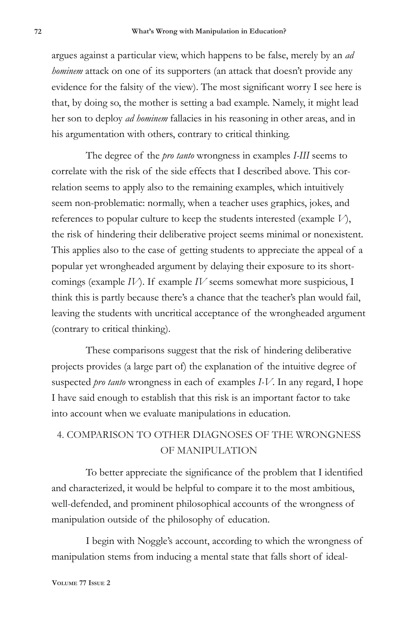argues against a particular view, which happens to be false, merely by an *ad hominem* attack on one of its supporters (an attack that doesn't provide any evidence for the falsity of the view). The most significant worry I see here is that, by doing so, the mother is setting a bad example. Namely, it might lead her son to deploy *ad hominem* fallacies in his reasoning in other areas, and in his argumentation with others, contrary to critical thinking.

The degree of the *pro tanto* wrongness in examples *I-III* seems to correlate with the risk of the side effects that I described above. This correlation seems to apply also to the remaining examples, which intuitively seem non-problematic: normally, when a teacher uses graphics, jokes, and references to popular culture to keep the students interested (example *V*), the risk of hindering their deliberative project seems minimal or nonexistent. This applies also to the case of getting students to appreciate the appeal of a popular yet wrongheaded argument by delaying their exposure to its shortcomings (example *IV*). If example *IV* seems somewhat more suspicious, I think this is partly because there's a chance that the teacher's plan would fail, leaving the students with uncritical acceptance of the wrongheaded argument (contrary to critical thinking).

These comparisons suggest that the risk of hindering deliberative projects provides (a large part of) the explanation of the intuitive degree of suspected *pro tanto* wrongness in each of examples *I-V*. In any regard, I hope I have said enough to establish that this risk is an important factor to take into account when we evaluate manipulations in education.

# 4. COMPARISON TO OTHER DIAGNOSES OF THE WRONGNESS OF MANIPULATION

To better appreciate the significance of the problem that I identified and characterized, it would be helpful to compare it to the most ambitious, well-defended, and prominent philosophical accounts of the wrongness of manipulation outside of the philosophy of education.

I begin with Noggle's account, according to which the wrongness of manipulation stems from inducing a mental state that falls short of ideal-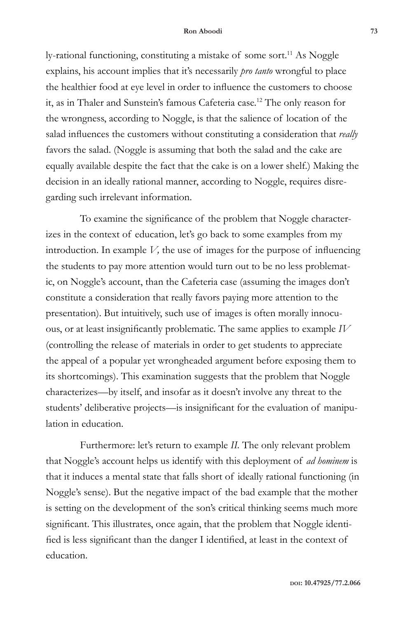ly-rational functioning, constituting a mistake of some sort.<sup>11</sup> As Noggle explains, his account implies that it's necessarily *pro tanto* wrongful to place the healthier food at eye level in order to influence the customers to choose it, as in Thaler and Sunstein's famous Cafeteria case.<sup>12</sup> The only reason for the wrongness, according to Noggle, is that the salience of location of the salad influences the customers without constituting a consideration that *really* favors the salad. (Noggle is assuming that both the salad and the cake are equally available despite the fact that the cake is on a lower shelf.) Making the decision in an ideally rational manner, according to Noggle, requires disregarding such irrelevant information.

To examine the significance of the problem that Noggle characterizes in the context of education, let's go back to some examples from my introduction. In example *V,* the use of images for the purpose of influencing the students to pay more attention would turn out to be no less problematic, on Noggle's account, than the Cafeteria case (assuming the images don't constitute a consideration that really favors paying more attention to the presentation). But intuitively, such use of images is often morally innocuous, or at least insignificantly problematic. The same applies to example *IV* (controlling the release of materials in order to get students to appreciate the appeal of a popular yet wrongheaded argument before exposing them to its shortcomings). This examination suggests that the problem that Noggle characterizes—by itself, and insofar as it doesn't involve any threat to the students' deliberative projects—is insignificant for the evaluation of manipulation in education.

Furthermore: let's return to example *II.* The only relevant problem that Noggle's account helps us identify with this deployment of *ad hominem* is that it induces a mental state that falls short of ideally rational functioning (in Noggle's sense). But the negative impact of the bad example that the mother is setting on the development of the son's critical thinking seems much more significant. This illustrates, once again, that the problem that Noggle identified is less significant than the danger I identified, at least in the context of education.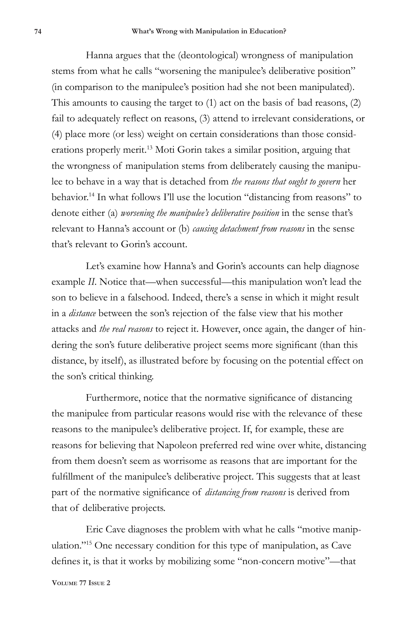Hanna argues that the (deontological) wrongness of manipulation stems from what he calls "worsening the manipulee's deliberative position" (in comparison to the manipulee's position had she not been manipulated). This amounts to causing the target to (1) act on the basis of bad reasons, (2) fail to adequately reflect on reasons, (3) attend to irrelevant considerations, or (4) place more (or less) weight on certain considerations than those considerations properly merit.<sup>13</sup> Moti Gorin takes a similar position, arguing that the wrongness of manipulation stems from deliberately causing the manipulee to behave in a way that is detached from *the reasons that ought to govern* her behavior.14 In what follows I'll use the locution "distancing from reasons" to denote either (a) *worsening the manipulee's deliberative position* in the sense that's relevant to Hanna's account or (b) *causing detachment from reasons* in the sense that's relevant to Gorin's account.

Let's examine how Hanna's and Gorin's accounts can help diagnose example *II*. Notice that—when successful—this manipulation won't lead the son to believe in a falsehood. Indeed, there's a sense in which it might result in a *distance* between the son's rejection of the false view that his mother attacks and *the real reasons* to reject it. However, once again, the danger of hindering the son's future deliberative project seems more significant (than this distance, by itself), as illustrated before by focusing on the potential effect on the son's critical thinking.

Furthermore, notice that the normative significance of distancing the manipulee from particular reasons would rise with the relevance of these reasons to the manipulee's deliberative project. If, for example, these are reasons for believing that Napoleon preferred red wine over white, distancing from them doesn't seem as worrisome as reasons that are important for the fulfillment of the manipulee's deliberative project. This suggests that at least part of the normative significance of *distancing from reasons* is derived from that of deliberative projects.

Eric Cave diagnoses the problem with what he calls "motive manipulation."15 One necessary condition for this type of manipulation, as Cave defines it, is that it works by mobilizing some "non-concern motive"—that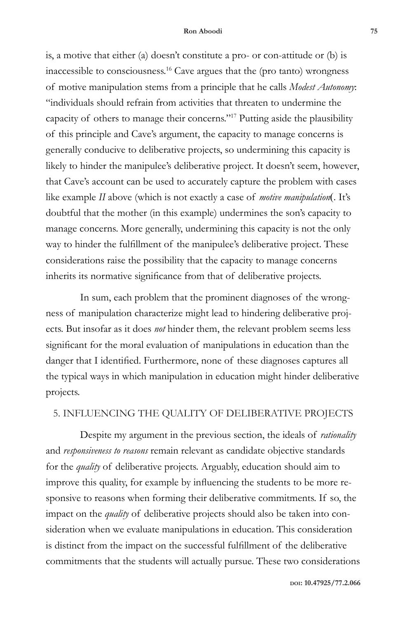is, a motive that either (a) doesn't constitute a pro- or con-attitude or (b) is inaccessible to consciousness.16 Cave argues that the (pro tanto) wrongness of motive manipulation stems from a principle that he calls *Modest Autonomy*: "individuals should refrain from activities that threaten to undermine the capacity of others to manage their concerns."<sup>17</sup> Putting aside the plausibility of this principle and Cave's argument, the capacity to manage concerns is generally conducive to deliberative projects, so undermining this capacity is likely to hinder the manipulee's deliberative project. It doesn't seem, however, that Cave's account can be used to accurately capture the problem with cases like example *II* above (which is not exactly a case of *motive manipulation*(. It's doubtful that the mother (in this example) undermines the son's capacity to manage concerns. More generally, undermining this capacity is not the only way to hinder the fulfillment of the manipulee's deliberative project. These considerations raise the possibility that the capacity to manage concerns inherits its normative significance from that of deliberative projects.

In sum, each problem that the prominent diagnoses of the wrongness of manipulation characterize might lead to hindering deliberative projects. But insofar as it does *not* hinder them, the relevant problem seems less significant for the moral evaluation of manipulations in education than the danger that I identified. Furthermore, none of these diagnoses captures all the typical ways in which manipulation in education might hinder deliberative projects.

## 5. INFLUENCING THE QUALITY OF DELIBERATIVE PROJECTS

Despite my argument in the previous section, the ideals of *rationality*  and *responsiveness to reasons* remain relevant as candidate objective standards for the *quality* of deliberative projects. Arguably, education should aim to improve this quality, for example by influencing the students to be more responsive to reasons when forming their deliberative commitments. If so, the impact on the *quality* of deliberative projects should also be taken into consideration when we evaluate manipulations in education. This consideration is distinct from the impact on the successful fulfillment of the deliberative commitments that the students will actually pursue. These two considerations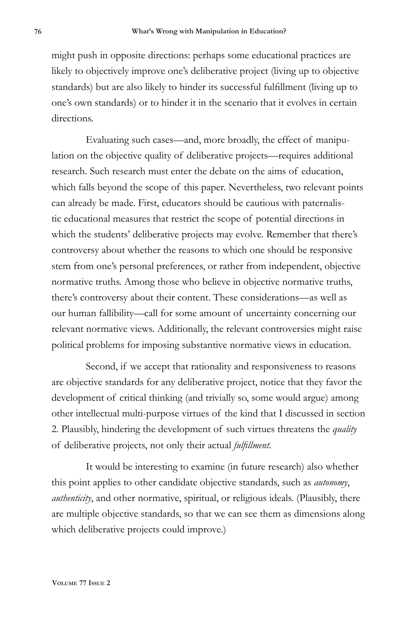might push in opposite directions: perhaps some educational practices are likely to objectively improve one's deliberative project (living up to objective standards) but are also likely to hinder its successful fulfillment (living up to one's own standards) or to hinder it in the scenario that it evolves in certain directions.

Evaluating such cases—and, more broadly, the effect of manipulation on the objective quality of deliberative projects—requires additional research. Such research must enter the debate on the aims of education, which falls beyond the scope of this paper. Nevertheless, two relevant points can already be made. First, educators should be cautious with paternalistic educational measures that restrict the scope of potential directions in which the students' deliberative projects may evolve. Remember that there's controversy about whether the reasons to which one should be responsive stem from one's personal preferences, or rather from independent, objective normative truths. Among those who believe in objective normative truths, there's controversy about their content. These considerations—as well as our human fallibility—call for some amount of uncertainty concerning our relevant normative views. Additionally, the relevant controversies might raise political problems for imposing substantive normative views in education.

Second, if we accept that rationality and responsiveness to reasons are objective standards for any deliberative project, notice that they favor the development of critical thinking (and trivially so, some would argue) among other intellectual multi-purpose virtues of the kind that I discussed in section 2. Plausibly, hindering the development of such virtues threatens the *quality* of deliberative projects, not only their actual *fulfillment*.

It would be interesting to examine (in future research) also whether this point applies to other candidate objective standards, such as *autonomy*, *authenticity*, and other normative, spiritual, or religious ideals. (Plausibly, there are multiple objective standards, so that we can see them as dimensions along which deliberative projects could improve.)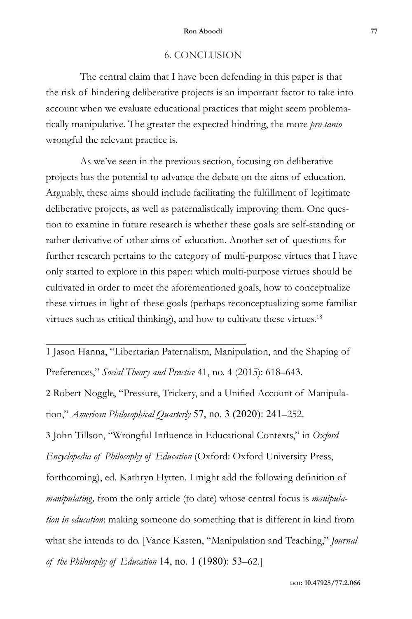## 6. CONCLUSION

The central claim that I have been defending in this paper is that the risk of hindering deliberative projects is an important factor to take into account when we evaluate educational practices that might seem problematically manipulative. The greater the expected hindring, the more *pro tanto*  wrongful the relevant practice is.

As we've seen in the previous section, focusing on deliberative projects has the potential to advance the debate on the aims of education. Arguably, these aims should include facilitating the fulfillment of legitimate deliberative projects, as well as paternalistically improving them. One question to examine in future research is whether these goals are self-standing or rather derivative of other aims of education. Another set of questions for further research pertains to the category of multi-purpose virtues that I have only started to explore in this paper: which multi-purpose virtues should be cultivated in order to meet the aforementioned goals, how to conceptualize these virtues in light of these goals (perhaps reconceptualizing some familiar virtues such as critical thinking), and how to cultivate these virtues.<sup>18</sup>

1 Jason Hanna, "Libertarian Paternalism, Manipulation, and the Shaping of Preferences," *Social Theory and Practice* 41, no. 4 (2015): 618–643.

2 Robert Noggle, "Pressure, Trickery, and a Unified Account of Manipulation," *American Philosophical Quarterly* 57, no. 3 (2020): 241–252.

3 John Tillson, "Wrongful Influence in Educational Contexts," in *Oxford Encyclopedia of Philosophy of Education* (Oxford: Oxford University Press, forthcoming), ed. Kathryn Hytten. I might add the following definition of *manipulating,* from the only article (to date) whose central focus is *manipulation in education*: making someone do something that is different in kind from what she intends to do. [Vance Kasten, "Manipulation and Teaching," *Journal of the Philosophy of Education* 14, no. 1 (1980): 53–62.]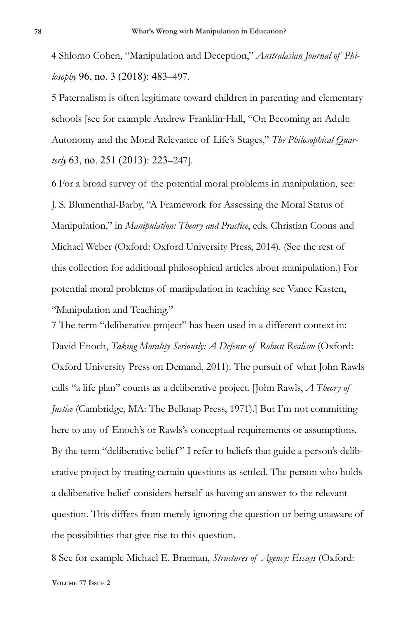4 Shlomo Cohen, "Manipulation and Deception," *Australasian Journal of Philosophy* 96, no. 3 (2018): 483–497.

5 Paternalism is often legitimate toward children in parenting and elementary schools [see for example Andrew Franklin-Hall, "On Becoming an Adult: Autonomy and the Moral Relevance of Life's Stages," *The Philosophical Quarterly* 63, no. 251 (2013): 223–247].

6 For a broad survey of the potential moral problems in manipulation, see: J. S. Blumenthal-Barby, "A Framework for Assessing the Moral Status of Manipulation," in *Manipulation: Theory and Practice*, eds. Christian Coons and Michael Weber (Oxford: Oxford University Press, 2014). (See the rest of this collection for additional philosophical articles about manipulation.) For potential moral problems of manipulation in teaching see Vance Kasten, "Manipulation and Teaching."

7 The term "deliberative project" has been used in a different context in: David Enoch, *Taking Morality Seriously: A Defense of Robust Realism* (Oxford: Oxford University Press on Demand, 2011). The pursuit of what John Rawls calls "a life plan" counts as a deliberative project. [John Rawls, *A Theory of Justice* (Cambridge, MA: The Belknap Press, 1971).] But I'm not committing here to any of Enoch's or Rawls's conceptual requirements or assumptions. By the term "deliberative belief" I refer to beliefs that guide a person's deliberative project by treating certain questions as settled. The person who holds a deliberative belief considers herself as having an answer to the relevant question. This differs from merely ignoring the question or being unaware of the possibilities that give rise to this question.

8 See for example Michael E. Bratman, *Structures of Agency: Essays* (Oxford: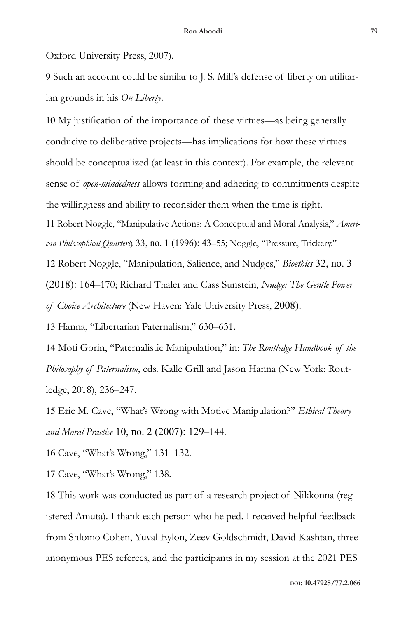Oxford University Press, 2007).

9 Such an account could be similar to J. S. Mill's defense of liberty on utilitarian grounds in his *On Liberty*.

10 My justification of the importance of these virtues—as being generally conducive to deliberative projects—has implications for how these virtues should be conceptualized (at least in this context). For example, the relevant sense of *open-mindedness* allows forming and adhering to commitments despite the willingness and ability to reconsider them when the time is right. 11 Robert Noggle, "Manipulative Actions: A Conceptual and Moral Analysis," *American Philosophical Quarterly* 33, no. 1 (1996): 43–55; Noggle, "Pressure, Trickery."

12 Robert Noggle, "Manipulation, Salience, and Nudges," *Bioethics* 32, no. 3

(2018): 164–170; Richard Thaler and Cass Sunstein, *Nudge: The Gentle Power* 

*of Choice Architecture* (New Haven: Yale University Press, 2008).

13 Hanna, "Libertarian Paternalism," 630–631.

14 Moti Gorin, "Paternalistic Manipulation," in: *The Routledge Handbook of the Philosophy of Paternalism*, eds. Kalle Grill and Jason Hanna (New York: Routledge, 2018), 236–247.

15 Eric M. Cave, "What's Wrong with Motive Manipulation?" *Ethical Theory and Moral Practice* 10, no. 2 (2007): 129–144.

16 Cave, "What's Wrong," 131–132.

17 Cave, "What's Wrong," 138.

18 This work was conducted as part of a research project of Nikkonna (registered Amuta). I thank each person who helped. I received helpful feedback from Shlomo Cohen, Yuval Eylon, Zeev Goldschmidt, David Kashtan, three anonymous PES referees, and the participants in my session at the 2021 PES